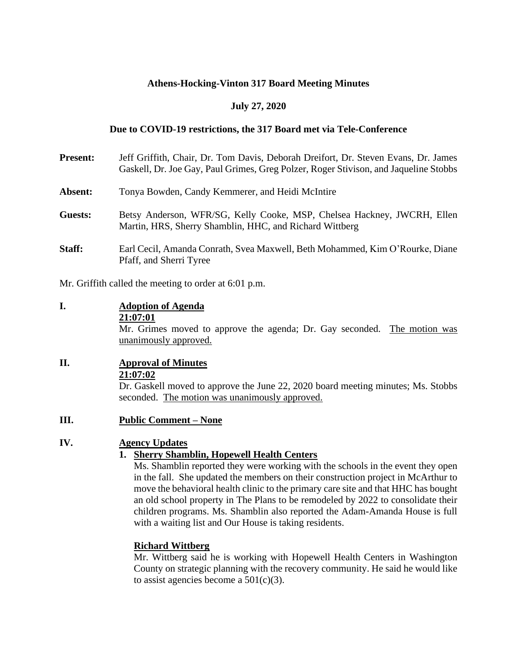## **Athens-Hocking-Vinton 317 Board Meeting Minutes**

## **July 27, 2020**

## **Due to COVID-19 restrictions, the 317 Board met via Tele-Conference**

| <b>Present:</b> | Jeff Griffith, Chair, Dr. Tom Davis, Deborah Dreifort, Dr. Steven Evans, Dr. James<br>Gaskell, Dr. Joe Gay, Paul Grimes, Greg Polzer, Roger Stivison, and Jaqueline Stobbs |
|-----------------|----------------------------------------------------------------------------------------------------------------------------------------------------------------------------|
| Absent:         | Tonya Bowden, Candy Kemmerer, and Heidi McIntire                                                                                                                           |
| Guests:         | Betsy Anderson, WFR/SG, Kelly Cooke, MSP, Chelsea Hackney, JWCRH, Ellen<br>Martin, HRS, Sherry Shamblin, HHC, and Richard Wittberg                                         |
| Staff:          | Earl Cecil, Amanda Conrath, Svea Maxwell, Beth Mohammed, Kim O'Rourke, Diane<br>Pfaff, and Sherri Tyree                                                                    |

Mr. Griffith called the meeting to order at 6:01 p.m.

### **I. Adoption of Agenda 21:07:01**

Mr. Grimes moved to approve the agenda; Dr. Gay seconded. The motion was unanimously approved.

## **II. Approval of Minutes 21:07:02**

Dr. Gaskell moved to approve the June 22, 2020 board meeting minutes; Ms. Stobbs seconded. The motion was unanimously approved.

**III. Public Comment – None**

## **IV. Agency Updates**

## **1. Sherry Shamblin, Hopewell Health Centers**

Ms. Shamblin reported they were working with the schools in the event they open in the fall. She updated the members on their construction project in McArthur to move the behavioral health clinic to the primary care site and that HHC has bought an old school property in The Plans to be remodeled by 2022 to consolidate their children programs. Ms. Shamblin also reported the Adam-Amanda House is full with a waiting list and Our House is taking residents.

## **Richard Wittberg**

Mr. Wittberg said he is working with Hopewell Health Centers in Washington County on strategic planning with the recovery community. He said he would like to assist agencies become a  $501(c)(3)$ .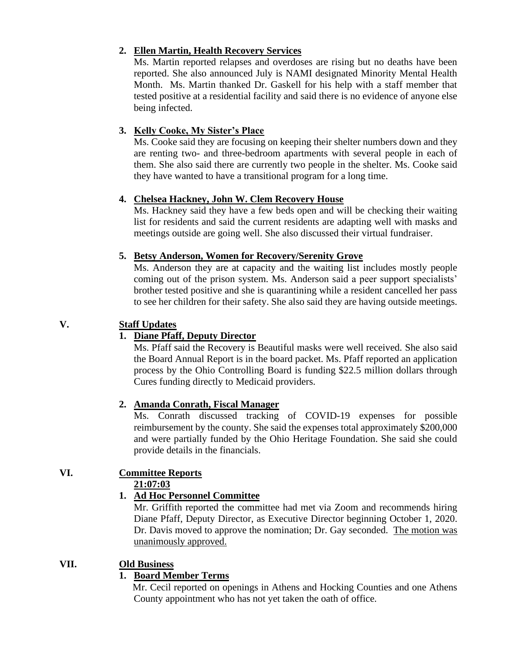## **2. Ellen Martin, Health Recovery Services**

Ms. Martin reported relapses and overdoses are rising but no deaths have been reported. She also announced July is NAMI designated Minority Mental Health Month. Ms. Martin thanked Dr. Gaskell for his help with a staff member that tested positive at a residential facility and said there is no evidence of anyone else being infected.

## **3. Kelly Cooke, My Sister's Place**

Ms. Cooke said they are focusing on keeping their shelter numbers down and they are renting two- and three-bedroom apartments with several people in each of them. She also said there are currently two people in the shelter. Ms. Cooke said they have wanted to have a transitional program for a long time.

## **4. Chelsea Hackney, John W. Clem Recovery House**

Ms. Hackney said they have a few beds open and will be checking their waiting list for residents and said the current residents are adapting well with masks and meetings outside are going well. She also discussed their virtual fundraiser.

## **5. Betsy Anderson, Women for Recovery/Serenity Grove**

Ms. Anderson they are at capacity and the waiting list includes mostly people coming out of the prison system. Ms. Anderson said a peer support specialists' brother tested positive and she is quarantining while a resident cancelled her pass to see her children for their safety. She also said they are having outside meetings.

# **V. Staff Updates**

# **1. Diane Pfaff, Deputy Director**

Ms. Pfaff said the Recovery is Beautiful masks were well received. She also said the Board Annual Report is in the board packet. Ms. Pfaff reported an application process by the Ohio Controlling Board is funding \$22.5 million dollars through Cures funding directly to Medicaid providers.

# **2. Amanda Conrath, Fiscal Manager**

Ms. Conrath discussed tracking of COVID-19 expenses for possible reimbursement by the county. She said the expenses total approximately \$200,000 and were partially funded by the Ohio Heritage Foundation. She said she could provide details in the financials.

#### **VI. Committee Reports 21:07:03**

# **1. Ad Hoc Personnel Committee**

Mr. Griffith reported the committee had met via Zoom and recommends hiring Diane Pfaff, Deputy Director, as Executive Director beginning October 1, 2020. Dr. Davis moved to approve the nomination; Dr. Gay seconded. The motion was unanimously approved.

# **VII. Old Business**

# **1. Board Member Terms**

Mr. Cecil reported on openings in Athens and Hocking Counties and one Athens County appointment who has not yet taken the oath of office.